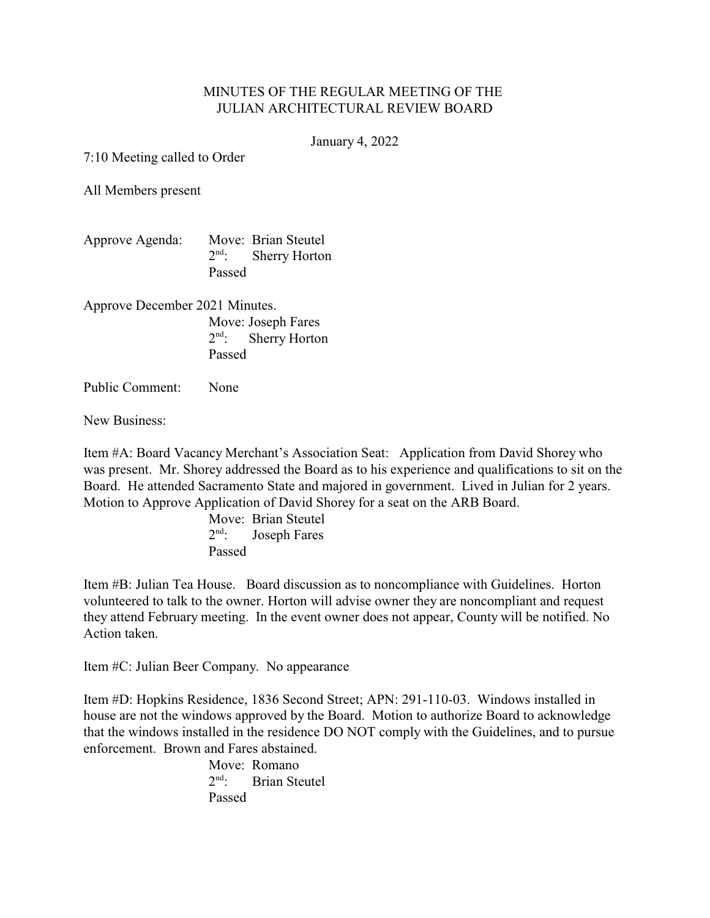## MINUTES OF THE REGULAR MEETING OF THE JULIAN ARCHITECTURAL REVIEW BOARD

January 4, 2022

7:10 Meeting called to Order

All Members present

| Approve Agenda: |        | Move: Brian Steutel   |
|-----------------|--------|-----------------------|
|                 |        | $2nd$ : Sherry Horton |
|                 | Passed |                       |

Approve December 2021 Minutes. Move: Joseph Fares  $2<sup>nd</sup>$ : Sherry Horton Passed

Public Comment: None

New Business:

Item #A: Board Vacancy Merchant's Association Seat: Application from David Shorey who was present. Mr. Shorey addressed the Board as to his experience and qualifications to sit on the Board. He attended Sacramento State and majored in government. Lived in Julian for 2 years. Motion to Approve Application of David Shorey for a seat on the ARB Board.

> Move: Brian Steutel  $2<sup>nd</sup>$ : Joseph Fares Passed

Item #B: Julian Tea House. Board discussion as to noncompliance with Guidelines. Horton volunteered to talk to the owner. Horton will advise owner they are noncompliant and request they attend February meeting. In the event owner does not appear, County will be notified. No Action taken.

Item #C: Julian Beer Company. No appearance

Item #D: Hopkins Residence, 1836 Second Street; APN: 291-110-03. Windows installed in house are not the windows approved by the Board. Motion to authorize Board to acknowledge that the windows installed in the residence DO NOT comply with the Guidelines, and to pursue enforcement. Brown and Fares abstained.

> Move: Romano  $2<sup>nd</sup>$ : Brian Steutel Passed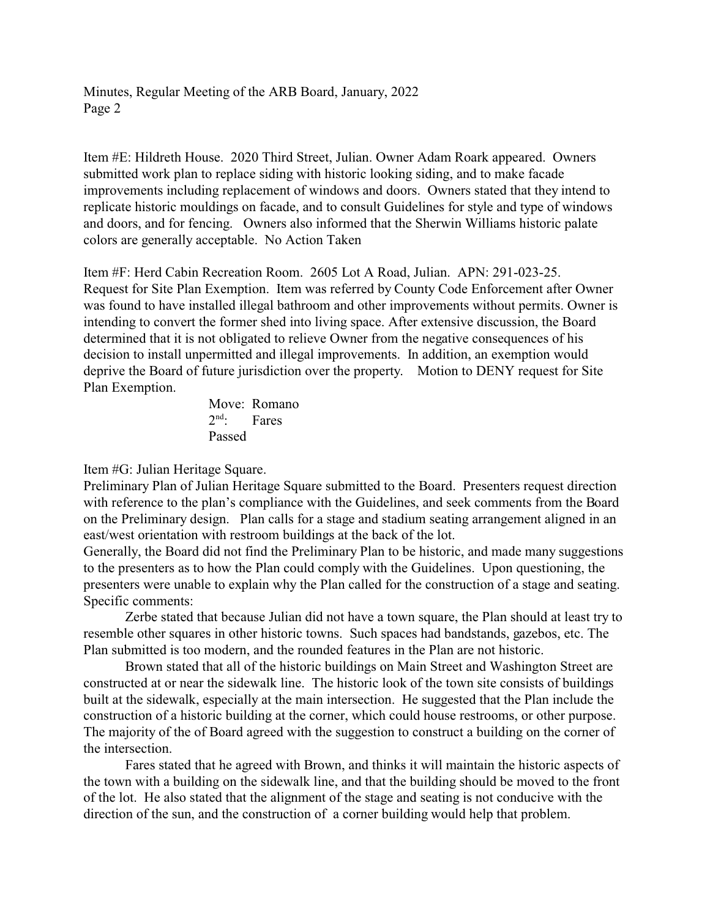Minutes, Regular Meeting of the ARB Board, January, 2022 Page 2

Item #E: Hildreth House. 2020 Third Street, Julian. Owner Adam Roark appeared. Owners submitted work plan to replace siding with historic looking siding, and to make facade improvements including replacement of windows and doors. Owners stated that they intend to replicate historic mouldings on facade, and to consult Guidelines for style and type of windows and doors, and for fencing. Owners also informed that the Sherwin Williams historic palate colors are generally acceptable. No Action Taken

Item #F: Herd Cabin Recreation Room. 2605 Lot A Road, Julian. APN: 291-023-25. Request for Site Plan Exemption. Item was referred by County Code Enforcement after Owner was found to have installed illegal bathroom and other improvements without permits. Owner is intending to convert the former shed into living space. After extensive discussion, the Board determined that it is not obligated to relieve Owner from the negative consequences of his decision to install unpermitted and illegal improvements. In addition, an exemption would deprive the Board of future jurisdiction over the property. Motion to DENY request for Site Plan Exemption.

> Move: Romano  $2<sup>nd</sup>$ : Fares Passed

Item #G: Julian Heritage Square.

Preliminary Plan of Julian Heritage Square submitted to the Board. Presenters request direction with reference to the plan's compliance with the Guidelines, and seek comments from the Board on the Preliminary design. Plan calls for a stage and stadium seating arrangement aligned in an east/west orientation with restroom buildings at the back of the lot.

Generally, the Board did not find the Preliminary Plan to be historic, and made many suggestions to the presenters as to how the Plan could comply with the Guidelines. Upon questioning, the presenters were unable to explain why the Plan called for the construction of a stage and seating. Specific comments:

Zerbe stated that because Julian did not have a town square, the Plan should at least try to resemble other squares in other historic towns. Such spaces had bandstands, gazebos, etc. The Plan submitted is too modern, and the rounded features in the Plan are not historic.

Brown stated that all of the historic buildings on Main Street and Washington Street are constructed at or near the sidewalk line. The historic look of the town site consists of buildings built at the sidewalk, especially at the main intersection. He suggested that the Plan include the construction of a historic building at the corner, which could house restrooms, or other purpose. The majority of the of Board agreed with the suggestion to construct a building on the corner of the intersection.

Fares stated that he agreed with Brown, and thinks it will maintain the historic aspects of the town with a building on the sidewalk line, and that the building should be moved to the front of the lot. He also stated that the alignment of the stage and seating is not conducive with the direction of the sun, and the construction of a corner building would help that problem.